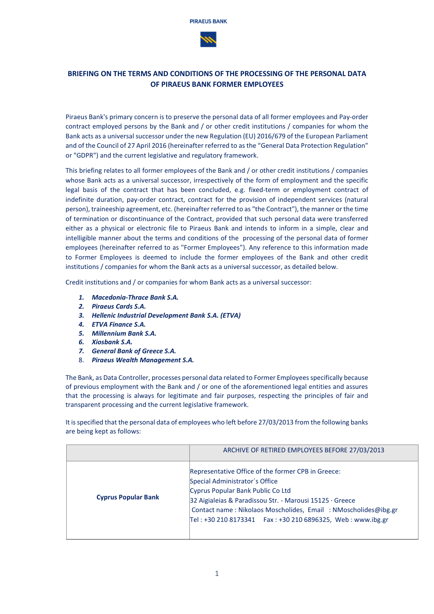

# **BRIEFING ON THE TERMS AND CONDITIONS OF THE PROCESSING OF THE PERSONAL DATA OF PIRAEUS BANK FORMER EMPLOYEES**

Piraeus Bank's primary concern is to preserve the personal data of all former employees and Pay-order contract employed persons by the Bank and / or other credit institutions / companies for whom the Bank acts as a universal successor under the new Regulation (EU) 2016/679 of the European Parliament and of the Council of 27 April 2016 (hereinafter referred to as the "General Data Protection Regulation" or "GDPR") and the current legislative and regulatory framework.

This briefing relates to all former employees of the Bank and / or other credit institutions / companies whose Bank acts as a universal successor, irrespectively of the form of employment and the specific legal basis of the contract that has been concluded, e.g. fixed-term or employment contract of indefinite duration, pay-order contract, contract for the provision of independent services (natural person), traineeship agreement, etc. (hereinafter referred to as "the Contract"), the manner or the time of termination or discontinuance of the Contract, provided that such personal data were transferred either as a physical or electronic file to Piraeus Bank and intends to inform in a simple, clear and intelligible manner about the terms and conditions of the processing of the personal data of former employees (hereinafter referred to as "Former Employees"). Any reference to this information made to Former Employees is deemed to include the former employees of the Bank and other credit institutions / companies for whom the Bank acts as a universal successor, as detailed below.

Credit institutions and / or companies for whom Bank acts as a universal successor:

- *1. Macedonia-Thrace Bank S.A.*
- *2. Piraeus Cards S.A.*
- *3. Hellenic Industrial Development Bank S.A. (ETVA)*
- *4. ETVA Finance S.A.*
- *5. Millennium Bank S.A.*
- *6. Xiosbank S.A.*
- *7. General Bank of Greece S.A.*
- 8. *Piraeus Wealth Management S.A.*

The Bank, as Data Controller, processes personal data related to Former Employees specifically because of previous employment with the Bank and / or one of the aforementioned legal entities and assures that the processing is always for legitimate and fair purposes, respecting the principles of fair and transparent processing and the current legislative framework.

It is specified that the personal data of employees who left before 27/03/2013 from the following banks are being kept as follows:

|                            | ARCHIVE OF RETIRED EMPLOYEES BEFORE 27/03/2013                                                                                                                                                                                                                                                                           |
|----------------------------|--------------------------------------------------------------------------------------------------------------------------------------------------------------------------------------------------------------------------------------------------------------------------------------------------------------------------|
| <b>Cyprus Popular Bank</b> | Representative Office of the former CPB in Greece:<br>Special Administrator's Office<br>Cyprus Popular Bank Public Co Ltd<br>32 Aigialeias & Paradissou Str. - Marousi 15125 · Greece<br>Contact name: Nikolaos Moscholides, Email: NMoscholides@ibg.gr<br>Tel: +30 210 8173341    Fax: +30 210 6896325, Web: www.ibg.gr |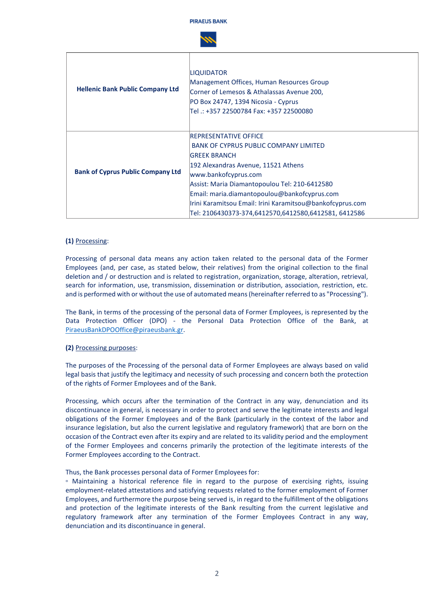

| <b>Hellenic Bank Public Company Ltd</b>  | <b>LIQUIDATOR</b><br>Management Offices, Human Resources Group<br>Corner of Lemesos & Athalassas Avenue 200,<br>PO Box 24747, 1394 Nicosia - Cyprus<br>Tel .: +357 22500784 Fax: +357 22500080                                                                                                                                                                                              |
|------------------------------------------|---------------------------------------------------------------------------------------------------------------------------------------------------------------------------------------------------------------------------------------------------------------------------------------------------------------------------------------------------------------------------------------------|
| <b>Bank of Cyprus Public Company Ltd</b> | <b>IREPRESENTATIVE OFFICE</b><br><b>BANK OF CYPRUS PUBLIC COMPANY LIMITED</b><br><b>IGREEK BRANCH</b><br>192 Alexandras Avenue, 11521 Athens<br>www.bankofcyprus.com<br>Assist: Maria Diamantopoulou Tel: 210-6412580<br>Email: maria.diamantopoulou@bankofcyprus.com <br>Irini Karamitsou Email: Irini Karamitsou@bankofcyprus.com<br>Tel: 2106430373-374,6412570,6412580,6412581, 6412586 |

# **(1)** Processing:

Processing of personal data means any action taken related to the personal data of the Former Employees (and, per case, as stated below, their relatives) from the original collection to the final deletion and / or destruction and is related to registration, organization, storage, alteration, retrieval, search for information, use, transmission, dissemination or distribution, association, restriction, etc. and is performed with or without the use of automated means (hereinafter referred to as "Processing").

The Bank, in terms of the processing of the personal data of Former Employees, is represented by the Data Protection Officer (DPO) - the Personal Data Protection Office of the Bank, at [PiraeusBankDPOOffice@piraeusbank.gr.](mailto:PiraeusBankDPOOffice@piraeusbank.gr)

## **(2)** Processing purposes:

The purposes of the Processing of the personal data of Former Employees are always based on valid legal basis that justify the legitimacy and necessity of such processing and concern both the protection of the rights of Former Employees and of the Bank.

Processing, which occurs after the termination of the Contract in any way, denunciation and its discontinuance in general, is necessary in order to protect and serve the legitimate interests and legal obligations of the Former Employees and of the Bank (particularly in the context of the labor and insurance legislation, but also the current legislative and regulatory framework) that are born on the occasion of the Contract even after its expiry and are related to its validity period and the employment of the Former Employees and concerns primarily the protection of the legitimate interests of the Former Employees according to the Contract.

#### Thus, the Bank processes personal data of Former Employees for:

▫ Maintaining a historical reference file in regard to the purpose of exercising rights, issuing employment-related attestations and satisfying requests related to the former employment of Former Employees, and furthermore the purpose being served is, in regard to the fulfillment of the obligations and protection of the legitimate interests of the Bank resulting from the current legislative and regulatory framework after any termination of the Former Employees Contract in any way, denunciation and its discontinuance in general.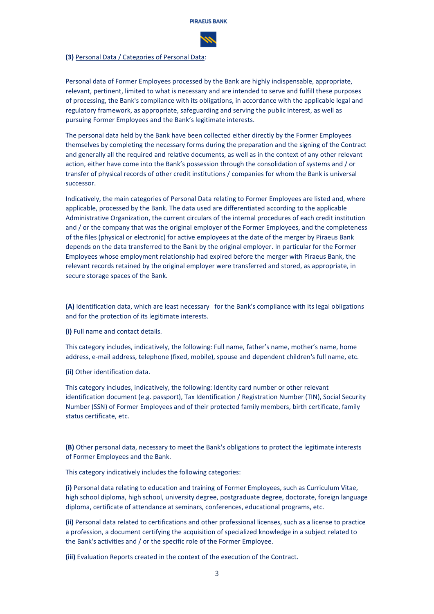

#### **(3)** Personal Data / Categories of Personal Data:

Personal data of Former Employees processed by the Bank are highly indispensable, appropriate, relevant, pertinent, limited to what is necessary and are intended to serve and fulfill these purposes of processing, the Bank's compliance with its obligations, in accordance with the applicable legal and regulatory framework, as appropriate, safeguarding and serving the public interest, as well as pursuing Former Employees and the Bank's legitimate interests.

The personal data held by the Bank have been collected either directly by the Former Employees themselves by completing the necessary forms during the preparation and the signing of the Contract and generally all the required and relative documents, as well as in the context of any other relevant action, either have come into the Bank's possession through the consolidation of systems and / or transfer of physical records of other credit institutions / companies for whom the Bank is universal successor.

Indicatively, the main categories of Personal Data relating to Former Employees are listed and, where applicable, processed by the Bank. The data used are differentiated according to the applicable Administrative Organization, the current circulars of the internal procedures of each credit institution and / or the company that was the original employer of the Former Employees, and the completeness of the files (physical or electronic) for active employees at the date of the merger by Piraeus Bank depends on the data transferred to the Bank by the original employer. In particular for the Former Employees whose employment relationship had expired before the merger with Piraeus Bank, the relevant records retained by the original employer were transferred and stored, as appropriate, in secure storage spaces of the Bank.

**(A)** Identification data, which are least necessary for the Bank's compliance with its legal obligations and for the protection of its legitimate interests.

**(i)** Full name and contact details.

This category includes, indicatively, the following: Full name, father's name, mother's name, home address, e-mail address, telephone (fixed, mobile), spouse and dependent children's full name, etc.

**(ii)** Other identification data.

This category includes, indicatively, the following: Identity card number or other relevant identification document (e.g. passport), Tax Identification / Registration Number (TIN), Social Security Number (SSN) of Former Employees and of their protected family members, birth certificate, family status certificate, etc.

**(B)** Other personal data, necessary to meet the Bank's obligations to protect the legitimate interests of Former Employees and the Bank.

This category indicatively includes the following categories:

**(i)** Personal data relating to education and training of Former Employees, such as Curriculum Vitae, high school diploma, high school, university degree, postgraduate degree, doctorate, foreign language diploma, certificate of attendance at seminars, conferences, educational programs, etc.

**(ii)** Personal data related to certifications and other professional licenses, such as a license to practice a profession, a document certifying the acquisition of specialized knowledge in a subject related to the Bank's activities and / or the specific role of the Former Employee.

**(iii)** Evaluation Reports created in the context of the execution of the Contract.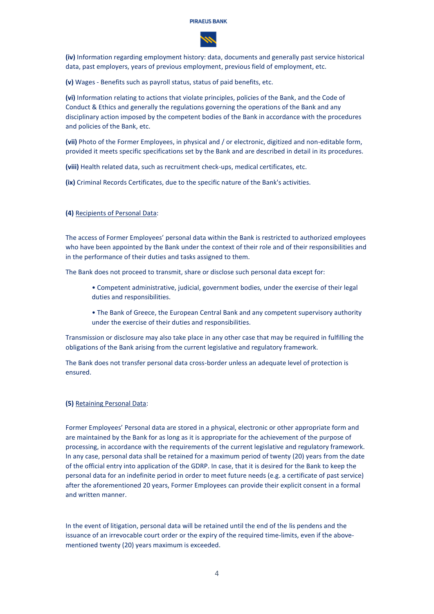

**(iv)** Information regarding employment history: data, documents and generally past service historical data, past employers, years of previous employment, previous field of employment, etc.

**(v)** Wages - Benefits such as payroll status, status of paid benefits, etc.

**(vi)** Information relating to actions that violate principles, policies of the Bank, and the Code of Conduct & Ethics and generally the regulations governing the operations of the Bank and any disciplinary action imposed by the competent bodies of the Bank in accordance with the procedures and policies of the Bank, etc.

**(vii)** Photo of the Former Employees, in physical and / or electronic, digitized and non-editable form, provided it meets specific specifications set by the Bank and are described in detail in its procedures.

**(viii)** Health related data, such as recruitment check-ups, medical certificates, etc.

**(ix)** Criminal Records Certificates, due to the specific nature of the Bank's activities.

# **(4)** Recipients of Personal Data:

The access of Former Employees' personal data within the Bank is restricted to authorized employees who have been appointed by the Bank under the context of their role and of their responsibilities and in the performance of their duties and tasks assigned to them.

The Bank does not proceed to transmit, share or disclose such personal data except for:

- Competent administrative, judicial, government bodies, under the exercise of their legal duties and responsibilities.
- The Bank of Greece, the European Central Bank and any competent supervisory authority under the exercise of their duties and responsibilities.

Transmission or disclosure may also take place in any other case that may be required in fulfilling the obligations of the Bank arising from the current legislative and regulatory framework.

The Bank does not transfer personal data cross-border unless an adequate level of protection is ensured.

#### **(5)** Retaining Personal Data:

Former Employees' Personal data are stored in a physical, electronic or other appropriate form and are maintained by the Bank for as long as it is appropriate for the achievement of the purpose of processing, in accordance with the requirements of the current legislative and regulatory framework. In any case, personal data shall be retained for a maximum period of twenty (20) years from the date of the official entry into application of the GDRP. In case, that it is desired for the Bank to keep the personal data for an indefinite period in order to meet future needs (e.g. a certificate of past service) after the aforementioned 20 years, Former Employees can provide their explicit consent in a formal and written manner.

In the event of litigation, personal data will be retained until the end of the lis pendens and the issuance of an irrevocable court order or the expiry of the required time-limits, even if the abovementioned twenty (20) years maximum is exceeded.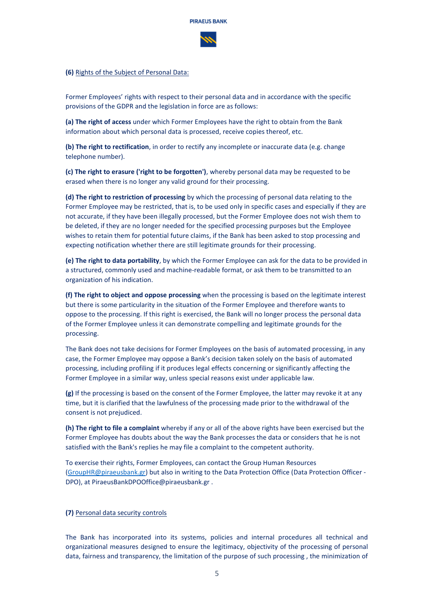

# **(6)** Rights of the Subject of Personal Data:

Former Employees' rights with respect to their personal data and in accordance with the specific provisions of the GDPR and the legislation in force are as follows:

**(a) The right of access** under which Former Employees have the right to obtain from the Bank information about which personal data is processed, receive copies thereof, etc.

**(b) The right to rectification**, in order to rectify any incomplete or inaccurate data (e.g. change telephone number).

**(c) The right to erasure ('right to be forgotten')**, whereby personal data may be requested to be erased when there is no longer any valid ground for their processing.

**(d) The right to restriction of processing** by which the processing of personal data relating to the Former Employee may be restricted, that is, to be used only in specific cases and especially if they are not accurate, if they have been illegally processed, but the Former Employee does not wish them to be deleted, if they are no longer needed for the specified processing purposes but the Employee wishes to retain them for potential future claims, if the Bank has been asked to stop processing and expecting notification whether there are still legitimate grounds for their processing.

**(e) The right to data portability**, by which the Former Employee can ask for the data to be provided in a structured, commonly used and machine-readable format, or ask them to be transmitted to an organization of his indication.

**(f) The right to object and oppose processing** when the processing is based on the legitimate interest but there is some particularity in the situation of the Former Employee and therefore wants to oppose to the processing. If this right is exercised, the Bank will no longer process the personal data of the Former Employee unless it can demonstrate compelling and legitimate grounds for the processing.

The Bank does not take decisions for Former Employees on the basis of automated processing, in any case, the Former Employee may oppose a Bank's decision taken solely on the basis of automated processing, including profiling if it produces legal effects concerning or significantly affecting the Former Employee in a similar way, unless special reasons exist under applicable law.

**(g)** If the processing is based on the consent of the Former Employee, the latter may revoke it at any time, but it is clarified that the lawfulness of the processing made prior to the withdrawal of the consent is not prejudiced.

**(h) The right to file a complaint** whereby if any or all of the above rights have been exercised but the Former Employee has doubts about the way the Bank processes the data or considers that he is not satisfied with the Bank's replies he may file a complaint to the competent authority.

To exercise their rights, Former Employees, can contact the Group Human Resources [\(GroupHR@piraeusbank.gr\)](mailto:GroupHR@piraeusbank.gr) but also in writing to the Data Protection Office (Data Protection Officer - DPO), at PiraeusBankDPOOffice@piraeusbank.gr .

#### **(7)** Personal data security controls

The Bank has incorporated into its systems, policies and internal procedures all technical and organizational measures designed to ensure the legitimacy, objectivity of the processing of personal data, fairness and transparency, the limitation of the purpose of such processing , the minimization of